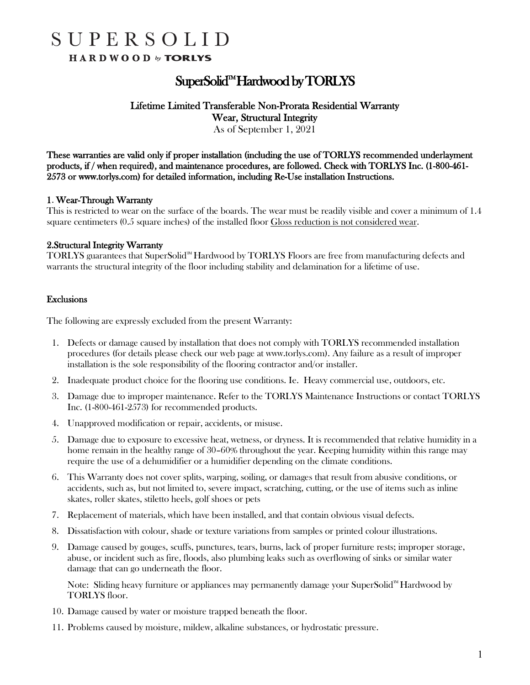# SUPERSOLID

HARDWOOD by TORLYS

### SuperSolid<sup>m</sup> Hardwood by TORLYS

#### Lifetime Limited Transferable Non-Prorata Residential Warranty Wear, Structural Integrity

As of September 1, 2021

These warranties are valid only if proper installation (including the use of TORLYS recommended underlayment products, if / when required), and maintenance procedures, are followed. Check with TORLYS Inc. (1-800-461- 2573 or www.torlys.com) for detailed information, including Re-Use installation Instructions.

#### 1. Wear-Through Warranty

This is restricted to wear on the surface of the boards. The wear must be readily visible and cover a minimum of 1.4 square centimeters (0.5 square inches) of the installed floor Gloss reduction is not considered wear.

#### 2.Structural Integrity Warranty

TORLYS guarantees that SuperSolid<sup> $m$ </sup> Hardwood by TORLYS Floors are free from manufacturing defects and warrants the structural integrity of the floor including stability and delamination for a lifetime of use.

#### Exclusions

The following are expressly excluded from the present Warranty:

- 1. Defects or damage caused by installation that does not comply with TORLYS recommended installation procedures (for details please check our web page at www.torlys.com). Any failure as a result of improper installation is the sole responsibility of the flooring contractor and/or installer.
- 2. Inadequate product choice for the flooring use conditions. Ie. Heavy commercial use, outdoors, etc.
- 3. Damage due to improper maintenance. Refer to the TORLYS Maintenance Instructions or contact TORLYS Inc. (1-800-461-2573) for recommended products.
- 4. Unapproved modification or repair, accidents, or misuse.
- 5. Damage due to exposure to excessive heat, wetness, or dryness. It is recommended that relative humidity in a home remain in the healthy range of 30–60% throughout the year. Keeping humidity within this range may require the use of a dehumidifier or a humidifier depending on the climate conditions.
- 6. This Warranty does not cover splits, warping, soiling, or damages that result from abusive conditions, or accidents, such as, but not limited to, severe impact, scratching, cutting, or the use of items such as inline skates, roller skates, stiletto heels, golf shoes or pets
- 7. Replacement of materials, which have been installed, and that contain obvious visual defects.
- 8. Dissatisfaction with colour, shade or texture variations from samples or printed colour illustrations.
- 9. Damage caused by gouges, scuffs, punctures, tears, burns, lack of proper furniture rests; improper storage, abuse, or incident such as fire, floods, also plumbing leaks such as overflowing of sinks or similar water damage that can go underneath the floor.

Note: Sliding heavy furniture or appliances may permanently damage your SuperSolid<sup> $M$ </sup> Hardwood by TORLYS floor.

- 10. Damage caused by water or moisture trapped beneath the floor.
- 11. Problems caused by moisture, mildew, alkaline substances, or hydrostatic pressure.